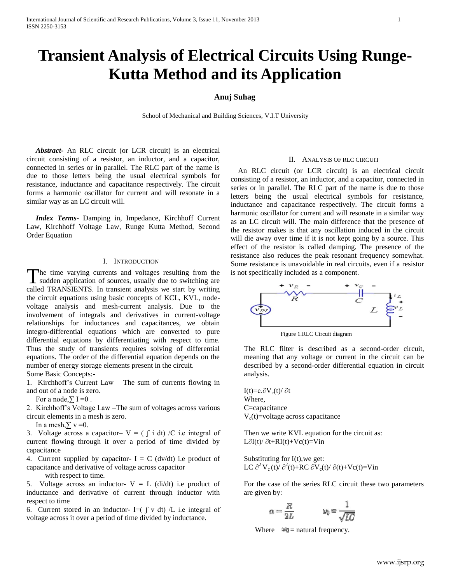# **Transient Analysis of Electrical Circuits Using Runge-Kutta Method and its Application**

# **Anuj Suhag**

School of Mechanical and Building Sciences, V.I.T University

 *Abstract***-** An RLC circuit (or LCR circuit) is an electrical circuit consisting of a resistor, an inductor, and a capacitor, connected in series or in parallel. The RLC part of the name is due to those letters being the usual electrical symbols for resistance, inductance and capacitance respectively. The circuit forms a harmonic oscillator for current and will resonate in a similar way as an LC circuit will.

 *Index Terms*- Damping in, Impedance, Kirchhoff Current Law, Kirchhoff Voltage Law, Runge Kutta Method, Second Order Equation

#### I. INTRODUCTION

The time varying currents and voltages resulting from the The time varying currents and voltages resulting from the sudden application of sources, usually due to switching are called TRANSIENTS. In transient analysis we start by writing the circuit equations using basic concepts of KCL, KVL, nodevoltage analysis and mesh-current analysis. Due to the involvement of integrals and derivatives in current-voltage relationships for inductances and capacitances, we obtain integro-differential equations which are converted to pure differential equations by differentiating with respect to time. Thus the study of transients requires solving of differential equations. The order of the differential equation depends on the number of energy storage elements present in the circuit. Some Basic Concepts:-

1. Kirchhoff's Current Law – The sum of currents flowing in and out of a node is zero.

For a node, $\Sigma I = 0$ .

2. Kirchhoff's Voltage Law –The sum of voltages across various circuit elements in a mesh is zero.

In a mesh, $\Sigma$  v =0.

3. Voltage across a capacitor-  $V = (\int i dt) /C$  i.e integral of current flowing through it over a period of time divided by capacitance

4. Current supplied by capacitor-  $I = C$  (dv/dt) i.e product of capacitance and derivative of voltage across capacitor

with respect to time.

5. Voltage across an inductor-  $V = L$  (di/dt) i.e product of inductance and derivative of current through inductor with respect to time

6. Current stored in an inductor- I= $(\int v dt) /L$  i.e integral of voltage across it over a period of time divided by inductance.

#### II. ANALYSIS OF RLC CIRCUIT

 An RLC circuit (or LCR circuit) is an electrical circuit consisting of a resistor, an inductor, and a capacitor, connected in series or in parallel. The RLC part of the name is due to those letters being the usual electrical symbols for resistance, inductance and capacitance respectively. The circuit forms a harmonic oscillator for current and will resonate in a similar way as an LC circuit will. The main difference that the presence of the resistor makes is that any oscillation induced in the circuit will die away over time if it is not kept going by a source. This effect of the resistor is called damping. The presence of the resistance also reduces the peak resonant frequency somewhat. Some resistance is unavoidable in real circuits, even if a resistor is not specifically included as a component.



Figure 1.RLC Circuit diagram

The RLC filter is described as a second-order circuit, meaning that any voltage or current in the circuit can be described by a second-order differential equation in circuit analysis.

I(t)=c. $\partial V_c(t)/\partial t$ Where, C=capacitance  $V_c(t)$ =voltage across capacitance

Then we write KVL equation for the circuit as: L∂I(t)/ ∂t+RI(t)+Vc(t)=Vin

Substituting for I(t),we get: LC  $\partial^2 V_c(t)/\partial^2(t) + RC \partial V_c(t)/\partial(t) + Vc(t) = Vin$ 

For the case of the series RLC circuit these two parameters are given by:

$$
k = \frac{R}{2L} \qquad \qquad \omega_0 = \frac{1}{\sqrt{LC}}
$$



û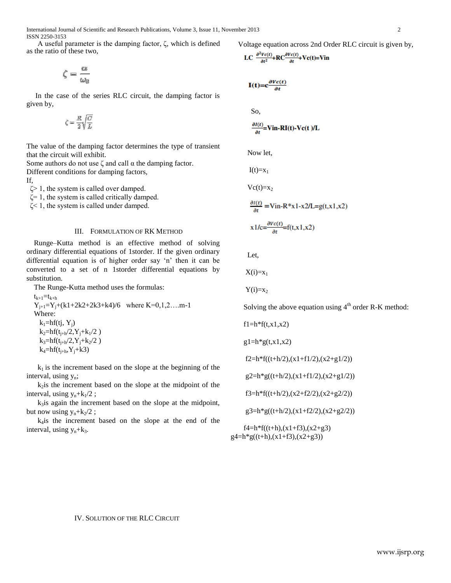A useful parameter is the damping factor, ζ, which is defined as the ratio of these two,

$$
\zeta = \frac{\alpha}{\omega_0}
$$

 In the case of the series RLC circuit, the damping factor is given by,

$$
\zeta = \frac{R}{2} \sqrt{\frac{C}{L}}
$$

The value of the damping factor determines the type of transient that the circuit will exhibit.

Some authors do not use  $\zeta$  and call  $\alpha$  the damping factor.

Different conditions for damping factors,

If,

 $\zeta$  1, the system is called over damped.

 $\zeta$ = 1, the system is called critically damped.

ζ< 1, the system is called under damped.

## III. FORMULATION OF RK METHOD

Runge–Kutta method is an effective method of solving ordinary differential equations of 1storder. If the given ordinary differential equation is of higher order say 'n' then it can be converted to a set of n 1storder differential equations by substitution.

The Runge-Kutta method uses the formulas:

 $t_{k+1}=t_{k+h}$  $Y_{i+1}=Y_i+(k1+2k2+2k3+k4)/6$  where  $K=0,1,2,...m-1$ Where:  $k_1=hf(tj, Y_i)$  $k_2=hf(t_{i+h}/2,Y_i+k_1/2)$  $k_3=hf(t_{i+h}/2, Y_i+k_2/2)$  $k_4 = hf(t_{i+h}, Y_i + k3)$ 

 $k_1$  is the increment based on the slope at the beginning of the interval, using y<sub>n</sub>;

 $k_2$  is the increment based on the slope at the midpoint of the interval, using  $y_n+k_1/2$ ;

 $k_3$  is again the increment based on the slope at the midpoint, but now using  $y_n+k_2/2$ ;

 k4is the increment based on the slope at the end of the interval, using  $y_n+k_3$ .

Voltage equation across 2nd Order RLC circuit is given by,

$$
LC \frac{\partial^2 Vc(t)}{\partial t^2} + RC \frac{\partial Vc(t)}{\partial t} + Vc(t) = Vin
$$

$$
\mathbf{I(t)} = \mathbf{c} \frac{\partial Vc(t)}{\partial t}
$$

So,

$$
\frac{\partial I(t)}{\partial t} = \textbf{V} \textbf{in-RI}(t) - \textbf{V} \textbf{c}(t) / L
$$

Now let,

 $I(t)=x_1$ 

 $Vc(t)=x_2$ 

 $\frac{\partial I(t)}{\partial t}$  = Vin-R\*x1-x2/L=g(t,x1,x2)

$$
x1/c = \frac{\partial Vc(t)}{\partial t} = f(t, x1, x2)
$$

Let,

 $X(i)=x_1$ 

 $Y(i)=x_2$ 

Solving the above equation using  $4<sup>th</sup>$  order R-K method:

 $f1=h*f(t,x1,x2)$ 

 $g1=h*g(t,x1,x2)$ 

 $f2=h*f((t+h/2),(x1+f1/2),(x2+g1/2))$ 

 $g2=h*g((t+h/2),(x1+f1/2),(x2+g1/2))$ 

f3=h\*f((t+h/2),(x2+f2/2),(x2+g2/2))

 $g3=h*g((t+h/2),(x1+f2/2),(x2+g2/2))$ 

 $f4=h*f((t+h),(x1+f3),(x2+g3))$  $g4=h*g((t+h),(x1+f3),(x2+g3))$ 

IV. SOLUTION OF THE RLC CIRCUIT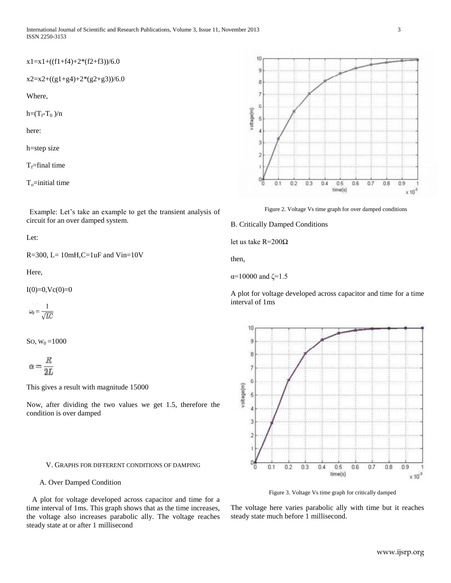### $x1=x1+((f1+f4)+2*(f2+f3))/6.0$

$$
x2=x2+((g1+g4)+2*(g2+g3))/6.0
$$

Where,

$$
h = (T_f - T_0)/n
$$

here:

h=step size

 $T_f$ =final time

 $T<sub>o</sub>=$ initial time



Let:

 $R=300$ ,  $L=10mH$ ,  $C=1uF$  and  $Vin=10V$ 

Here,

 $I(0)=0,$ Vc $(0)=0$ 

 $\omega_0 = \frac{1}{\sqrt{LC}}$ 

So,  $W_0 = 1000$ 

$$
\alpha=\frac{R}{2L}
$$

This gives a result with magnitude 15000

Now, after dividing the two values we get 1.5, therefore the condition is over damped

### V. GRAPHS FOR DIFFERENT CONDITIONS OF DAMPING

## A. Over Damped Condition

 A plot for voltage developed across capacitor and time for a time interval of 1ms. This graph shows that as the time increases, the voltage also increases parabolic ally. The voltage reaches steady state at or after 1 millisecond





B. Critically Damped Conditions

let us take R=200Ω

then,

α=10000 and  $\zeta$ =1.5

A plot for voltage developed across capacitor and time for a time interval of 1ms



Figure 3. Voltage Vs time graph for critically damped

The voltage here varies parabolic ally with time but it reaches steady state much before 1 millisecond.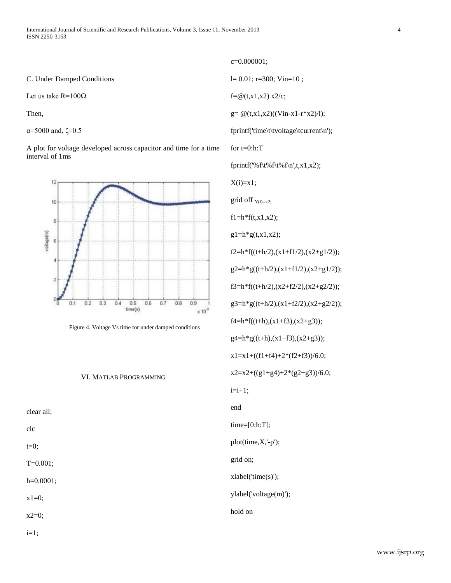C. Under Damped Conditions

Let us take R=100Ω

Then,

α=5000 and,  $\zeta$ =0.5

A plot for voltage developed across capacitor and time for a time interval of 1ms



Figure 4. Voltage Vs time for under damped conditions

## VI. MATLAB PROGRAMMING

clear all;

clc

 $t=0$ ;

T=0.001;

h=0.0001;

x1=0;

 $x2=0$ ;

 $i=1$ ;

c=0.000001; l= 0.01; r=300; Vin=10 ;  $f = \omega(t, x1, x2)$  x2/c;  $g = \omega(t, x1, x2)((Vin-x1-r*x2)/1);$ fprintf('time\t\tvoltage\tcurrent\n'); for  $t=0:h:T$ fprintf('%f\t%f\t%f\n',t,x1,x2);  $X(i)=x1;$ grid off  $Y(i)=x^2$ ;  $f1=h*f(t,x1,x2);$  $g1=h*g(t,x1,x2);$  $f2=h*f((t+h/2),(x1+f1/2),(x2+g1/2));$  $g2=h*g((t+h/2),(x1+f1/2),(x2+g1/2));$ f3=h\*f((t+h/2),(x2+f2/2),(x2+g2/2));  $g3=h*g((t+h/2),(x1+f2/2),(x2+g2/2));$  $f4=h*f((t+h),(x1+f3),(x2+g3));$  $g4=h*g((t+h),(x1+f3),(x2+g3));$ x1=x1+((f1+f4)+2\*(f2+f3))/6.0;  $x2=x2+((g1+g4)+2*(g2+g3))/6.0;$  $i=i+1$ ; end time=[0:h:T]; plot(time,X,'-p'); grid on; xlabel('time(s)'); ylabel('voltage(m)'); hold on